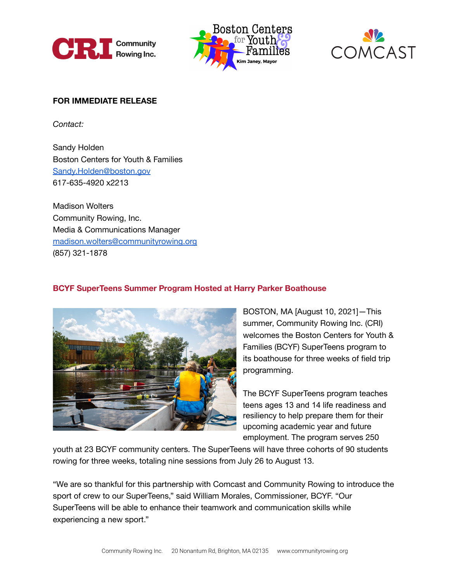





## **FOR IMMEDIATE RELEASE**

*Contact:*

Sandy Holden Boston Centers for Youth & Families [Sandy.Holden@boston.gov](mailto:Sandy.Holden@boston.gov) 617-635-4920 x2213

Madison Wolters Community Rowing, Inc. Media & Communications Manager [madison.wolters@communityrowing.org](mailto:madison.wolters@communityrowing.org) (857) 321-1878

## **BCYF SuperTeens Summer Program Hosted at Harry Parker Boathouse**



BOSTON, MA [August 10, 2021]—This summer, Community Rowing Inc. (CRI) welcomes the Boston Centers for Youth & Families (BCYF) SuperTeens program to its boathouse for three weeks of field trip programming.

The BCYF SuperTeens program teaches teens ages 13 and 14 life readiness and resiliency to help prepare them for their upcoming academic year and future employment. The program serves 250

youth at 23 BCYF community centers. The SuperTeens will have three cohorts of 90 students rowing for three weeks, totaling nine sessions from July 26 to August 13.

"We are so thankful for this partnership with Comcast and Community Rowing to introduce the sport of crew to our SuperTeens," said William Morales, Commissioner, BCYF. "Our SuperTeens will be able to enhance their teamwork and communication skills while experiencing a new sport."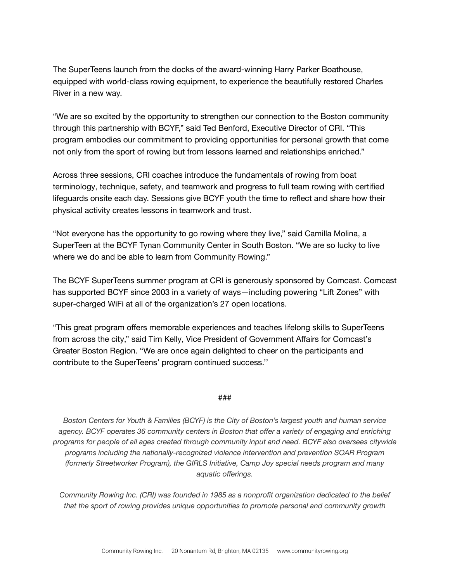The SuperTeens launch from the docks of the award-winning Harry Parker Boathouse, equipped with world-class rowing equipment, to experience the beautifully restored Charles River in a new way.

"We are so excited by the opportunity to strengthen our connection to the Boston community through this partnership with BCYF," said Ted Benford, Executive Director of CRI. "This program embodies our commitment to providing opportunities for personal growth that come not only from the sport of rowing but from lessons learned and relationships enriched."

Across three sessions, CRI coaches introduce the fundamentals of rowing from boat terminology, technique, safety, and teamwork and progress to full team rowing with certified lifeguards onsite each day. Sessions give BCYF youth the time to reflect and share how their physical activity creates lessons in teamwork and trust.

"Not everyone has the opportunity to go rowing where they live," said Camilla Molina, a SuperTeen at the BCYF Tynan Community Center in South Boston. "We are so lucky to live where we do and be able to learn from Community Rowing."

The BCYF SuperTeens summer program at CRI is generously sponsored by Comcast. Comcast has supported BCYF since 2003 in a variety of ways—including powering "Lift Zones" with super-charged WiFi at all of the organization's 27 open locations.

"This great program offers memorable experiences and teaches lifelong skills to SuperTeens from across the city," said Tim Kelly, Vice President of Government Affairs for Comcast's Greater Boston Region. "We are once again delighted to cheer on the participants and contribute to the SuperTeens' program continued success.''

## *###*

*Boston Centers for Youth & Families (BCYF) is the City of Boston's largest youth and human service agency. BCYF operates 36 community centers in Boston that offer a variety of engaging and enriching programs for people of all ages created through community input and need. BCYF also oversees citywide programs including the nationally-recognized violence intervention and prevention SOAR Program (formerly Streetworker Program), the GIRLS Initiative, Camp Joy special needs program and many aquatic offerings.*

*Community Rowing Inc. (CRI) was founded in 1985 as a nonprofit organization dedicated to the belief that the sport of rowing provides unique opportunities to promote personal and community growth*